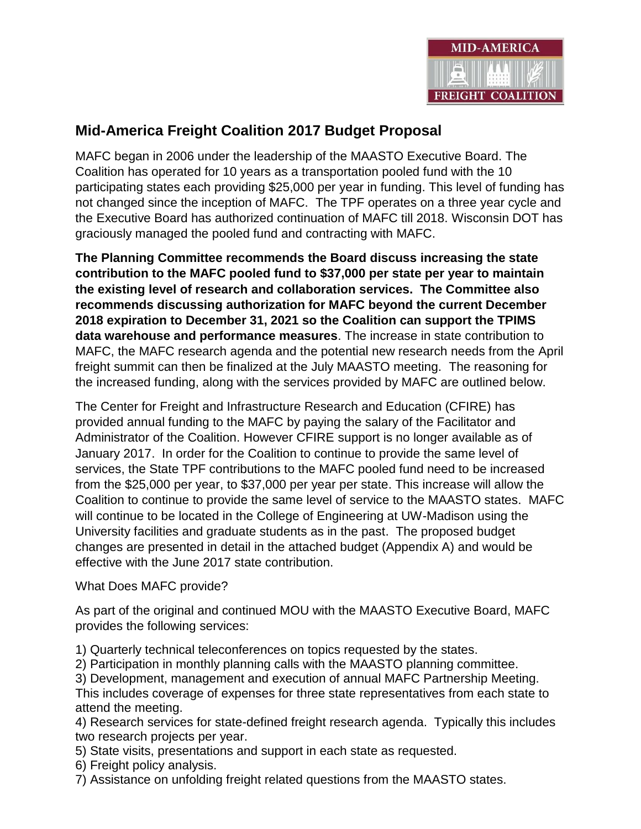

## **Mid-America Freight Coalition 2017 Budget Proposal**

MAFC began in 2006 under the leadership of the MAASTO Executive Board. The Coalition has operated for 10 years as a transportation pooled fund with the 10 participating states each providing \$25,000 per year in funding. This level of funding has not changed since the inception of MAFC. The TPF operates on a three year cycle and the Executive Board has authorized continuation of MAFC till 2018. Wisconsin DOT has graciously managed the pooled fund and contracting with MAFC.

**The Planning Committee recommends the Board discuss increasing the state contribution to the MAFC pooled fund to \$37,000 per state per year to maintain the existing level of research and collaboration services. The Committee also recommends discussing authorization for MAFC beyond the current December 2018 expiration to December 31, 2021 so the Coalition can support the TPIMS data warehouse and performance measures**. The increase in state contribution to MAFC, the MAFC research agenda and the potential new research needs from the April freight summit can then be finalized at the July MAASTO meeting. The reasoning for the increased funding, along with the services provided by MAFC are outlined below.

The Center for Freight and Infrastructure Research and Education (CFIRE) has provided annual funding to the MAFC by paying the salary of the Facilitator and Administrator of the Coalition. However CFIRE support is no longer available as of January 2017. In order for the Coalition to continue to provide the same level of services, the State TPF contributions to the MAFC pooled fund need to be increased from the \$25,000 per year, to \$37,000 per year per state. This increase will allow the Coalition to continue to provide the same level of service to the MAASTO states. MAFC will continue to be located in the College of Engineering at UW-Madison using the University facilities and graduate students as in the past. The proposed budget changes are presented in detail in the attached budget (Appendix A) and would be effective with the June 2017 state contribution.

What Does MAFC provide?

As part of the original and continued MOU with the MAASTO Executive Board, MAFC provides the following services:

1) Quarterly technical teleconferences on topics requested by the states.

2) Participation in monthly planning calls with the MAASTO planning committee.

3) Development, management and execution of annual MAFC Partnership Meeting.

This includes coverage of expenses for three state representatives from each state to attend the meeting.

4) Research services for state-defined freight research agenda. Typically this includes two research projects per year.

5) State visits, presentations and support in each state as requested.

6) Freight policy analysis.

7) Assistance on unfolding freight related questions from the MAASTO states.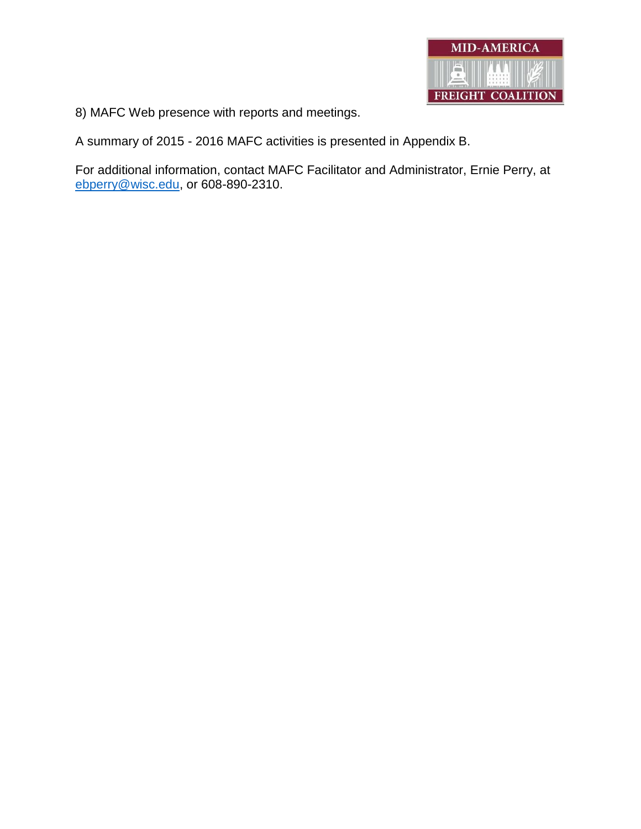

8) MAFC Web presence with reports and meetings.

A summary of 2015 - 2016 MAFC activities is presented in Appendix B.

For additional information, contact MAFC Facilitator and Administrator, Ernie Perry, at [ebperry@wisc.edu,](mailto:ebperry@wisc.edu) or 608-890-2310.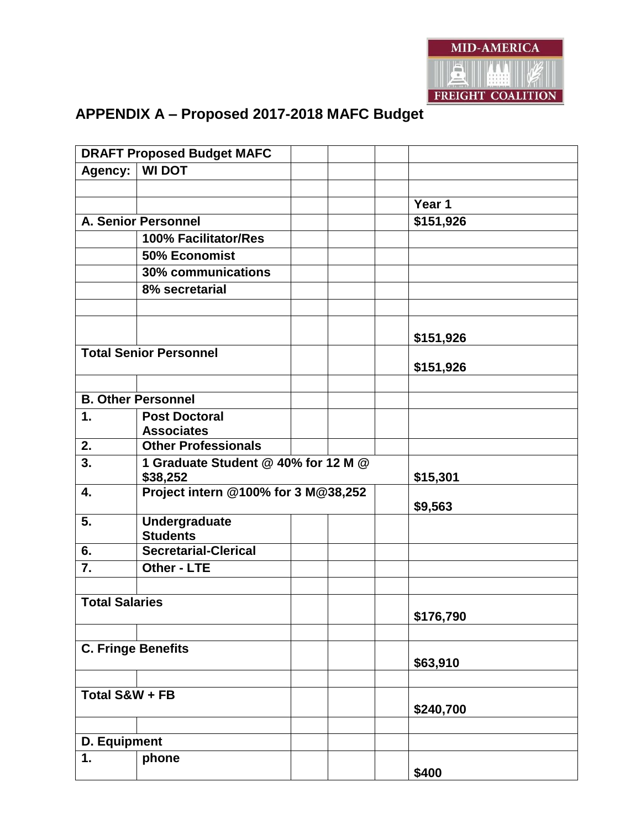

# **DRAFT Proposed Budget MAFC Agency: WI DOT Year 1 A. Senior Personnel \$151,926 100% Facilitator/Res 50% Economist 30% communications 8% secretarial \$151,926 Total Senior Personnel \$151,926 B. Other Personnel 1. Post Doctoral Associates 2. Other Professionals 3. 1 Graduate Student @ 40% for 12 M @ \$38,252 \$15,301 4. Project intern @100% for 3 M@38,252 \$9,563 5. Undergraduate Students 6. Secretarial-Clerical 7. Other - LTE Total Salaries \$176,790 C. Fringe Benefits \$63,910 Total S&W + FB \$240,700 D. Equipment 1. phone \$400**

### **APPENDIX A – Proposed 2017-2018 MAFC Budget**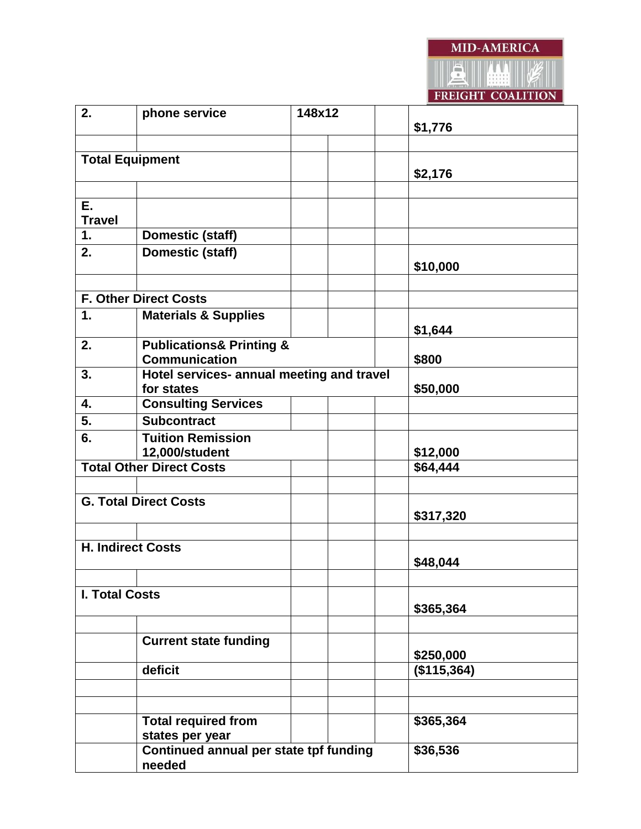

|                          |                                           |        | TRETOILL COMPLITON |
|--------------------------|-------------------------------------------|--------|--------------------|
| 2.                       | phone service                             | 148x12 |                    |
|                          |                                           |        | \$1,776            |
|                          |                                           |        |                    |
| <b>Total Equipment</b>   |                                           |        |                    |
|                          |                                           |        | \$2,176            |
|                          |                                           |        |                    |
| E.                       |                                           |        |                    |
| <b>Travel</b>            |                                           |        |                    |
|                          |                                           |        |                    |
| 1.                       | <b>Domestic (staff)</b>                   |        |                    |
| 2.                       | <b>Domestic (staff)</b>                   |        |                    |
|                          |                                           |        | \$10,000           |
|                          |                                           |        |                    |
|                          | <b>F. Other Direct Costs</b>              |        |                    |
| 1.                       | <b>Materials &amp; Supplies</b>           |        |                    |
|                          |                                           |        | \$1,644            |
| 2.                       | <b>Publications&amp; Printing &amp;</b>   |        |                    |
|                          | <b>Communication</b>                      | \$800  |                    |
| 3.                       | Hotel services- annual meeting and travel |        |                    |
|                          | for states                                |        | \$50,000           |
| 4.                       | <b>Consulting Services</b>                |        |                    |
| 5.                       | <b>Subcontract</b>                        |        |                    |
|                          |                                           |        |                    |
| 6.                       | <b>Tuition Remission</b>                  |        |                    |
| 12,000/student           |                                           |        | \$12,000           |
|                          | <b>Total Other Direct Costs</b>           |        | \$64,444           |
|                          |                                           |        |                    |
|                          | <b>G. Total Direct Costs</b>              |        |                    |
|                          |                                           |        | \$317,320          |
|                          |                                           |        |                    |
| <b>H. Indirect Costs</b> |                                           |        |                    |
|                          |                                           |        | \$48,044           |
|                          |                                           |        |                    |
|                          |                                           |        |                    |
| I. Total Costs           |                                           |        | \$365,364          |
|                          |                                           |        |                    |
|                          |                                           |        |                    |
|                          | <b>Current state funding</b>              |        |                    |
|                          |                                           |        | \$250,000          |
|                          | deficit                                   |        | (\$115,364)        |
|                          |                                           |        |                    |
|                          |                                           |        |                    |
|                          | <b>Total required from</b>                |        | \$365,364          |
|                          | states per year                           |        |                    |
|                          | Continued annual per state tpf funding    |        | \$36,536           |
|                          | needed                                    |        |                    |
|                          |                                           |        |                    |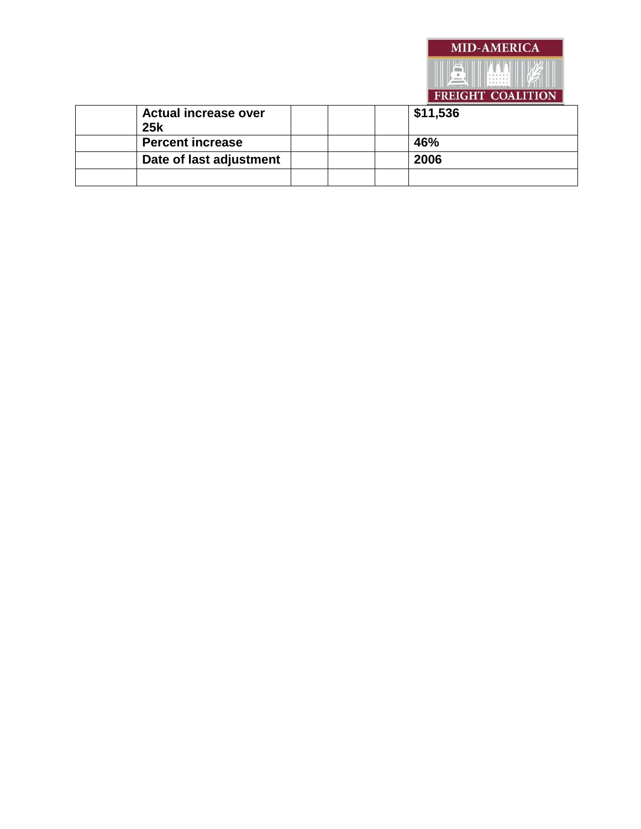|                             |  | TREIGHT COALITION |
|-----------------------------|--|-------------------|
| <b>Actual increase over</b> |  | \$11,536          |
| <b>25k</b>                  |  |                   |
| <b>Percent increase</b>     |  | 46%               |
| Date of last adjustment     |  | 2006              |
|                             |  |                   |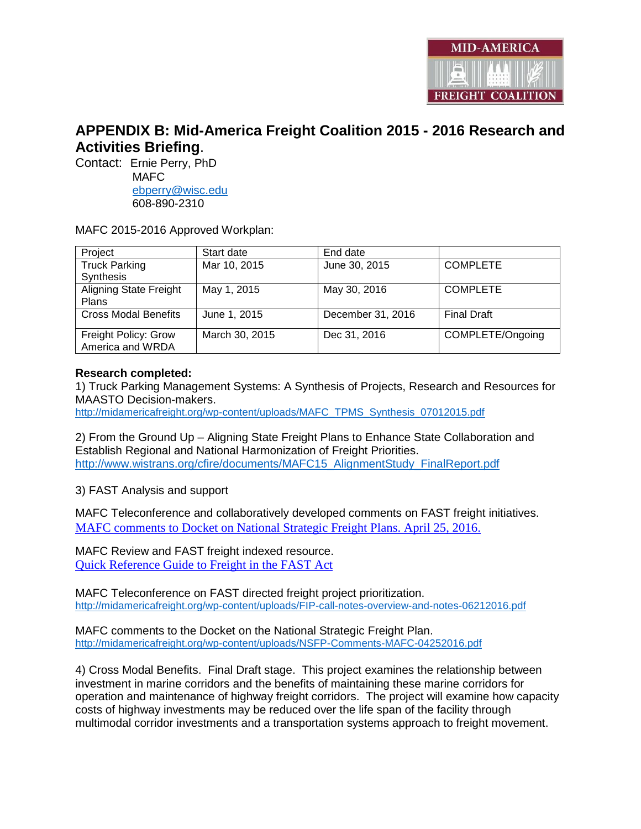

### **APPENDIX B: Mid-America Freight Coalition 2015 - 2016 Research and Activities Briefing**.

Contact: Ernie Perry, PhD

 MAFC [ebperry@wisc.edu](mailto:ebperry@wisc.edu) 608-890-2310

MAFC 2015-2016 Approved Workplan:

| Project                       | Start date     | End date          |                    |
|-------------------------------|----------------|-------------------|--------------------|
| <b>Truck Parking</b>          | Mar 10, 2015   | June 30, 2015     | <b>COMPLETE</b>    |
| Synthesis                     |                |                   |                    |
| <b>Aligning State Freight</b> | May 1, 2015    | May 30, 2016      | <b>COMPLETE</b>    |
| <b>Plans</b>                  |                |                   |                    |
| <b>Cross Modal Benefits</b>   | June 1, 2015   | December 31, 2016 | <b>Final Draft</b> |
|                               |                |                   |                    |
| Freight Policy: Grow          | March 30, 2015 | Dec 31, 2016      | COMPLETE/Ongoing   |
| America and WRDA              |                |                   |                    |

#### **Research completed:**

1) Truck Parking Management Systems: A Synthesis of Projects, Research and Resources for MAASTO Decision-makers.

[http://midamericafreight.org/wp-content/uploads/MAFC\\_TPMS\\_Synthesis\\_07012015.pdf](http://midamericafreight.org/wp-content/uploads/MAFC_TPMS_Synthesis_07012015.pdf)

2) From the Ground Up – Aligning State Freight Plans to Enhance State Collaboration and Establish Regional and National Harmonization of Freight Priorities. [http://www.wistrans.org/cfire/documents/MAFC15\\_AlignmentStudy\\_FinalReport.pdf](http://www.wistrans.org/cfire/documents/MAFC15_AlignmentStudy_FinalReport.pdf)

3) FAST Analysis and support

MAFC Teleconference and collaboratively developed comments on FAST freight initiatives. [MAFC comments to Docket on National Strategic Freight Plans. April 25, 2016.](http://midamericafreight.org/wp-content/uploads/NSFP-Comments-MAFC-04252016.pdf)

MAFC Review and FAST freight indexed resource. [Quick Reference Guide to Freight in the FAST Act](http://midamericafreight.org/wp-content/uploads/Quick-Reference-Guide-to-Freight-in-the-FAST-Act.pdf)

MAFC Teleconference on FAST directed freight project prioritization. <http://midamericafreight.org/wp-content/uploads/FIP-call-notes-overview-and-notes-06212016.pdf>

MAFC comments to the Docket on the National Strategic Freight Plan. <http://midamericafreight.org/wp-content/uploads/NSFP-Comments-MAFC-04252016.pdf>

4) Cross Modal Benefits. Final Draft stage. This project examines the relationship between investment in marine corridors and the benefits of maintaining these marine corridors for operation and maintenance of highway freight corridors. The project will examine how capacity costs of highway investments may be reduced over the life span of the facility through multimodal corridor investments and a transportation systems approach to freight movement.